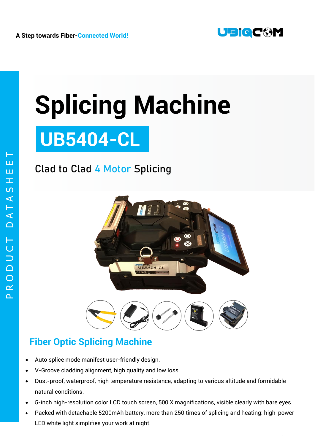

# **Splicing Machine**

# **UB5404-CL**

## Clad to Clad **4 Motor** Splicing



### **Fiber Optic Splicing Machine**

- Auto splice mode manifest user-friendly design.
- V-Groove cladding alignment, high quality and low loss.
- Dust-proof, waterproof, high temperature resistance, adapting to various altitude and formidable natural conditions.
- 5-inch high-resolution color LCD touch screen, 500 X magnifications, visible clearly with bare eyes.
- Packed with detachable 5200mAh battery, more than 250 times of splicing and heating: high-power LED white light simplifies your work at night.